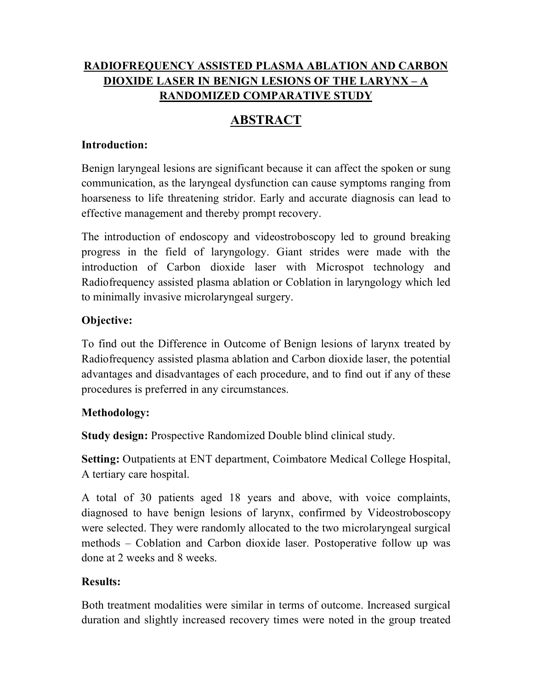# **RADIOFREQUENCY ASSISTED PLASMA ABLATION AND CARBON DIOXIDE LASER IN BENIGN LESIONS OF THE LARYNX – A RANDOMIZED COMPARATIVE STUDY**

# **ABSTRACT**

#### **Introduction:**

Benign laryngeal lesions are significant because it can affect the spoken or sung communication, as the laryngeal dysfunction can cause symptoms ranging from hoarseness to life threatening stridor. Early and accurate diagnosis can lead to effective management and thereby prompt recovery.

The introduction of endoscopy and videostroboscopy led to ground breaking progress in the field of laryngology. Giant strides were made with the introduction of Carbon dioxide laser with Microspot technology and Radiofrequency assisted plasma ablation or Coblation in laryngology which led to minimally invasive microlaryngeal surgery.

## **Objective:**

To find out the Difference in Outcome of Benign lesions of larynx treated by Radiofrequency assisted plasma ablation and Carbon dioxide laser, the potential advantages and disadvantages of each procedure, and to find out if any of these procedures is preferred in any circumstances.

## **Methodology:**

**Study design:** Prospective Randomized Double blind clinical study.

**Setting:** Outpatients at ENT department, Coimbatore Medical College Hospital, A tertiary care hospital.

A total of 30 patients aged 18 years and above, with voice complaints, diagnosed to have benign lesions of larynx, confirmed by Videostroboscopy were selected. They were randomly allocated to the two microlaryngeal surgical methods – Coblation and Carbon dioxide laser. Postoperative follow up was done at 2 weeks and 8 weeks.

## **Results:**

Both treatment modalities were similar in terms of outcome. Increased surgical duration and slightly increased recovery times were noted in the group treated